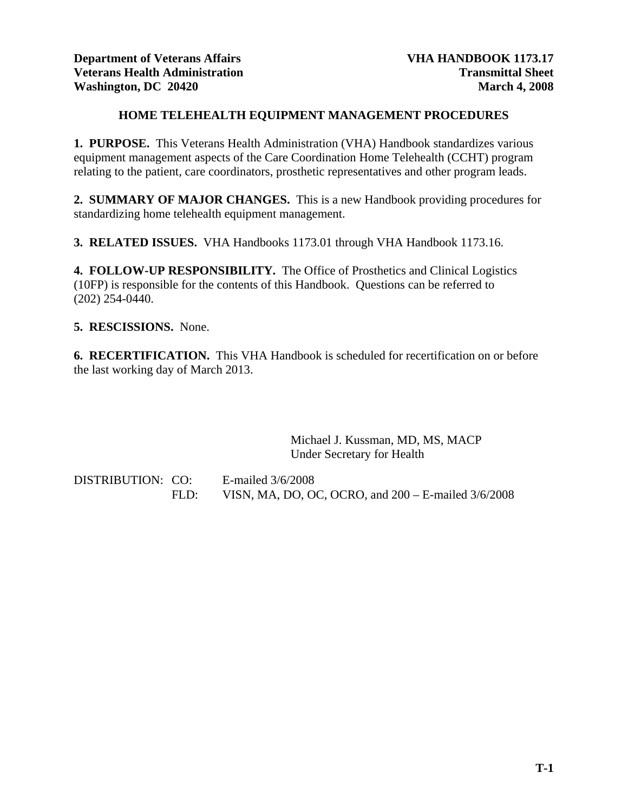# **HOME TELEHEALTH EQUIPMENT MANAGEMENT PROCEDURES**

**1. PURPOSE.** This Veterans Health Administration (VHA) Handbook standardizes various equipment management aspects of the Care Coordination Home Telehealth (CCHT) program relating to the patient, care coordinators, prosthetic representatives and other program leads.

**2. SUMMARY OF MAJOR CHANGES.** This is a new Handbook providing procedures for standardizing home telehealth equipment management.

**3. RELATED ISSUES.** VHA Handbooks 1173.01 through VHA Handbook 1173.16.

**4. FOLLOW-UP RESPONSIBILITY.** The Office of Prosthetics and Clinical Logistics (10FP) is responsible for the contents of this Handbook. Questions can be referred to (202) 254-0440.

# **5. RESCISSIONS.** None.

**6. RECERTIFICATION.** This VHA Handbook is scheduled for recertification on or before the last working day of March 2013.

> Michael J. Kussman, MD, MS, MACP Under Secretary for Health

DISTRIBUTION: CO: E-mailed 3/6/2008 FLD: VISN, MA, DO, OC, OCRO, and 200 – E-mailed 3/6/2008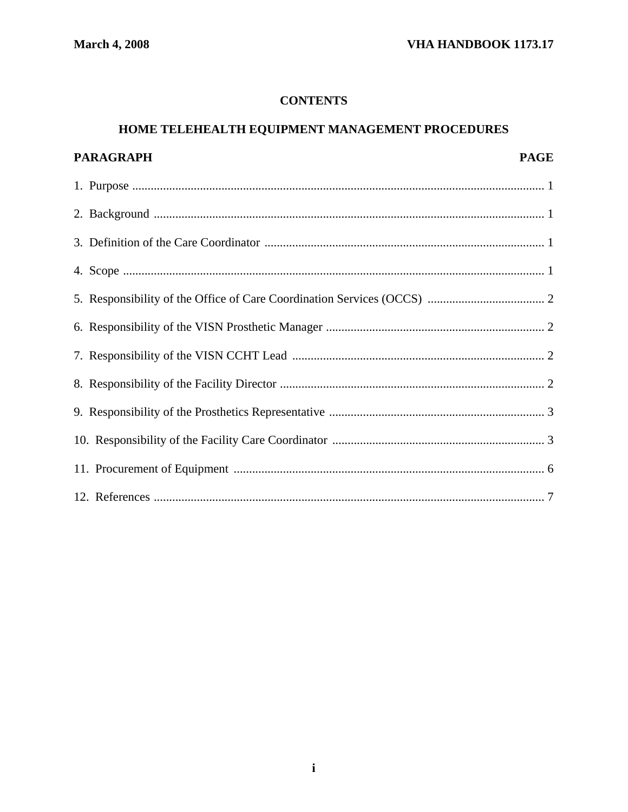# **CONTENTS**

# HOME TELEHEALTH EQUIPMENT MANAGEMENT PROCEDURES

| PARAGRAPH | <b>PAGE</b> |
|-----------|-------------|
|           |             |
|           |             |
|           |             |
|           |             |
|           |             |
|           |             |
|           |             |
|           |             |
|           |             |
|           |             |
|           |             |
|           |             |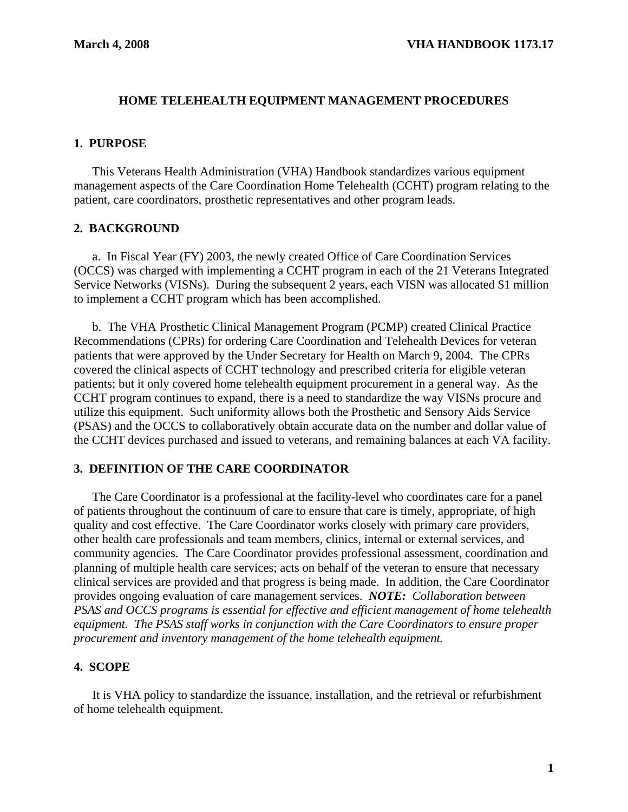## **HOME TELEHEALTH EQUIPMENT MANAGEMENT PROCEDURES**

## **1. PURPOSE**

 This Veterans Health Administration (VHA) Handbook standardizes various equipment management aspects of the Care Coordination Home Telehealth (CCHT) program relating to the patient, care coordinators, prosthetic representatives and other program leads.

## **2. BACKGROUND**

 a. In Fiscal Year (FY) 2003, the newly created Office of Care Coordination Services (OCCS) was charged with implementing a CCHT program in each of the 21 Veterans Integrated Service Networks (VISNs). During the subsequent 2 years, each VISN was allocated \$1 million to implement a CCHT program which has been accomplished.

b. The VHA Prosthetic Clinical Management Program (PCMP) created Clinical Practice Recommendations (CPRs) for ordering Care Coordination and Telehealth Devices for veteran patients that were approved by the Under Secretary for Health on March 9, 2004. The CPRs covered the clinical aspects of CCHT technology and prescribed criteria for eligible veteran patients; but it only covered home telehealth equipment procurement in a general way. As the CCHT program continues to expand, there is a need to standardize the way VISNs procure and utilize this equipment. Such uniformity allows both the Prosthetic and Sensory Aids Service (PSAS) and the OCCS to collaboratively obtain accurate data on the number and dollar value of the CCHT devices purchased and issued to veterans, and remaining balances at each VA facility.

## **3. DEFINITION OF THE CARE COORDINATOR**

 The Care Coordinator is a professional at the facility-level who coordinates care for a panel of patients throughout the continuum of care to ensure that care is timely, appropriate, of high quality and cost effective. The Care Coordinator works closely with primary care providers, other health care professionals and team members, clinics, internal or external services, and community agencies. The Care Coordinator provides professional assessment, coordination and planning of multiple health care services; acts on behalf of the veteran to ensure that necessary clinical services are provided and that progress is being made. In addition, the Care Coordinator provides ongoing evaluation of care management services. *NOTE: Collaboration between PSAS and OCCS programs is essential for effective and efficient management of home telehealth equipment. The PSAS staff works in conjunction with the Care Coordinators to ensure proper procurement and inventory management of the home telehealth equipment.* 

## **4. SCOPE**

It is VHA policy to standardize the issuance, installation, and the retrieval or refurbishment of home telehealth equipment.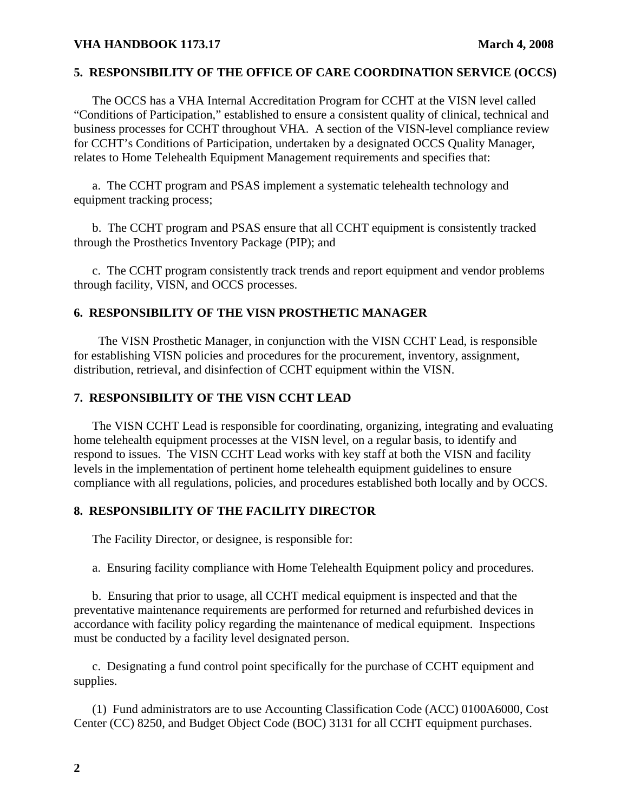## **VHA HANDBOOK 1173.17** March 4, 2008

### **5. RESPONSIBILITY OF THE OFFICE OF CARE COORDINATION SERVICE (OCCS)**

 The OCCS has a VHA Internal Accreditation Program for CCHT at the VISN level called "Conditions of Participation," established to ensure a consistent quality of clinical, technical and business processes for CCHT throughout VHA. A section of the VISN-level compliance review for CCHT's Conditions of Participation, undertaken by a designated OCCS Quality Manager, relates to Home Telehealth Equipment Management requirements and specifies that:

 a. The CCHT program and PSAS implement a systematic telehealth technology and equipment tracking process;

 b. The CCHT program and PSAS ensure that all CCHT equipment is consistently tracked through the Prosthetics Inventory Package (PIP); and

 c. The CCHT program consistently track trends and report equipment and vendor problems through facility, VISN, and OCCS processes.

# **6. RESPONSIBILITY OF THE VISN PROSTHETIC MANAGER**

 The VISN Prosthetic Manager, in conjunction with the VISN CCHT Lead, is responsible for establishing VISN policies and procedures for the procurement, inventory, assignment, distribution, retrieval, and disinfection of CCHT equipment within the VISN.

## **7. RESPONSIBILITY OF THE VISN CCHT LEAD**

 The VISN CCHT Lead is responsible for coordinating, organizing, integrating and evaluating home telehealth equipment processes at the VISN level, on a regular basis, to identify and respond to issues. The VISN CCHT Lead works with key staff at both the VISN and facility levels in the implementation of pertinent home telehealth equipment guidelines to ensure compliance with all regulations, policies, and procedures established both locally and by OCCS.

#### **8. RESPONSIBILITY OF THE FACILITY DIRECTOR**

The Facility Director, or designee, is responsible for:

a. Ensuring facility compliance with Home Telehealth Equipment policy and procedures.

 b. Ensuring that prior to usage, all CCHT medical equipment is inspected and that the preventative maintenance requirements are performed for returned and refurbished devices in accordance with facility policy regarding the maintenance of medical equipment. Inspections must be conducted by a facility level designated person.

 c. Designating a fund control point specifically for the purchase of CCHT equipment and supplies.

 (1) Fund administrators are to use Accounting Classification Code (ACC) 0100A6000, Cost Center (CC) 8250, and Budget Object Code (BOC) 3131 for all CCHT equipment purchases.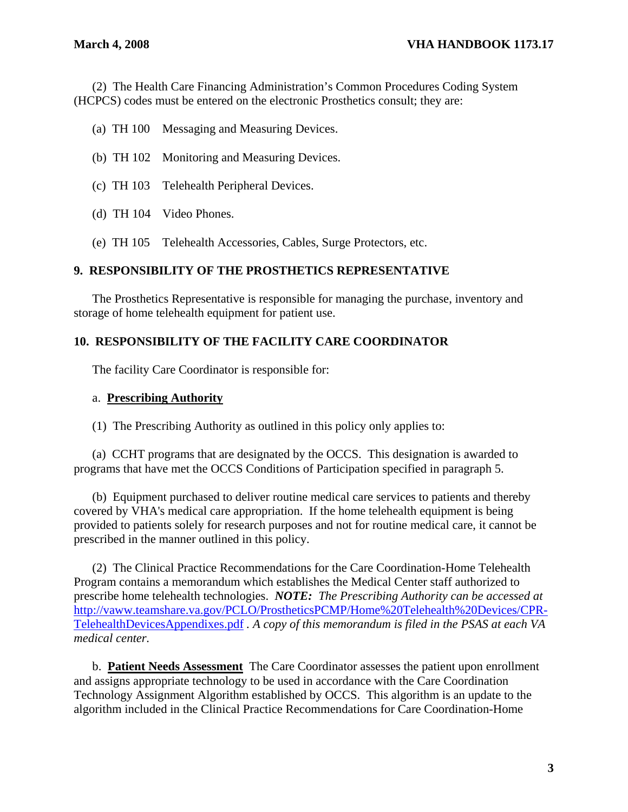(2) The Health Care Financing Administration's Common Procedures Coding System (HCPCS) codes must be entered on the electronic Prosthetics consult; they are:

- (a) TH 100 Messaging and Measuring Devices.
- (b) TH 102 Monitoring and Measuring Devices.
- (c) TH 103 Telehealth Peripheral Devices.
- (d) TH 104 Video Phones.
- (e) TH 105 Telehealth Accessories, Cables, Surge Protectors, etc.

# **9. RESPONSIBILITY OF THE PROSTHETICS REPRESENTATIVE**

The Prosthetics Representative is responsible for managing the purchase, inventory and storage of home telehealth equipment for patient use.

# **10. RESPONSIBILITY OF THE FACILITY CARE COORDINATOR**

The facility Care Coordinator is responsible for:

#### a. **Prescribing Authority**

(1) The Prescribing Authority as outlined in this policy only applies to:

 (a) CCHT programs that are designated by the OCCS. This designation is awarded to programs that have met the OCCS Conditions of Participation specified in paragraph 5.

 (b) Equipment purchased to deliver routine medical care services to patients and thereby covered by VHA's medical care appropriation. If the home telehealth equipment is being provided to patients solely for research purposes and not for routine medical care, it cannot be prescribed in the manner outlined in this policy.

 (2) The Clinical Practice Recommendations for the Care Coordination-Home Telehealth Program contains a memorandum which establishes the Medical Center staff authorized to prescribe home telehealth technologies. *NOTE: The Prescribing Authority can be accessed at*  [http://vaww.teamshare.va.gov/PCLO/ProstheticsPCMP/Home%20Telehealth%20Devices/CPR-](http://vaww.teamshare.va.gov/PCLO/ProstheticsPCMP/Home%20Telehealth%20Devices/CPR-TelehealthDevicesAppendixes.pdf)[TelehealthDevicesAppendixes.pdf](http://vaww.teamshare.va.gov/PCLO/ProstheticsPCMP/Home%20Telehealth%20Devices/CPR-TelehealthDevicesAppendixes.pdf) *. A copy of this memorandum is filed in the PSAS at each VA medical center.* 

 b. **Patient Needs Assessment** The Care Coordinator assesses the patient upon enrollment and assigns appropriate technology to be used in accordance with the Care Coordination Technology Assignment Algorithm established by OCCS. This algorithm is an update to the algorithm included in the Clinical Practice Recommendations for Care Coordination-Home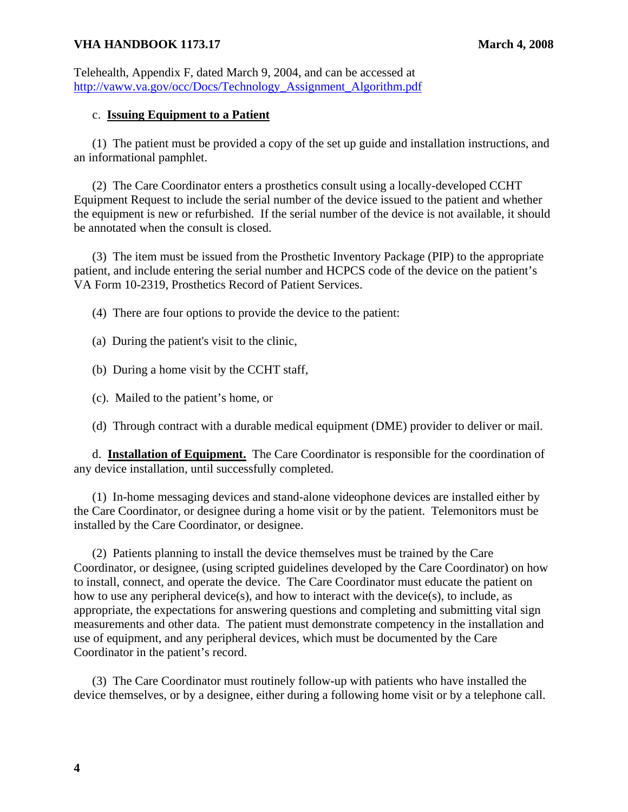# **VHA HANDBOOK 1173.17** March 4, 2008

Telehealth, Appendix F, dated March 9, 2004, and can be accessed at [http://vaww.va.gov/occ/Docs/Technology\\_Assignment\\_Algorithm.pdf](http://vaww.va.gov/occ/Docs/Technology_Assignment_Algorithm.pdf)

# c. **Issuing Equipment to a Patient**

 (1) The patient must be provided a copy of the set up guide and installation instructions, and an informational pamphlet.

 (2) The Care Coordinator enters a prosthetics consult using a locally-developed CCHT Equipment Request to include the serial number of the device issued to the patient and whether the equipment is new or refurbished. If the serial number of the device is not available, it should be annotated when the consult is closed.

 (3) The item must be issued from the Prosthetic Inventory Package (PIP) to the appropriate patient, and include entering the serial number and HCPCS code of the device on the patient's VA Form 10-2319, Prosthetics Record of Patient Services.

(4) There are four options to provide the device to the patient:

- (a) During the patient's visit to the clinic,
- (b) During a home visit by the CCHT staff,
- (c). Mailed to the patient's home, or
- (d) Through contract with a durable medical equipment (DME) provider to deliver or mail.

 d. **Installation of Equipment.** The Care Coordinator is responsible for the coordination of any device installation, until successfully completed.

 (1) In-home messaging devices and stand-alone videophone devices are installed either by the Care Coordinator, or designee during a home visit or by the patient. Telemonitors must be installed by the Care Coordinator, or designee.

 (2) Patients planning to install the device themselves must be trained by the Care Coordinator, or designee, (using scripted guidelines developed by the Care Coordinator) on how to install, connect, and operate the device. The Care Coordinator must educate the patient on how to use any peripheral device(s), and how to interact with the device(s), to include, as appropriate, the expectations for answering questions and completing and submitting vital sign measurements and other data. The patient must demonstrate competency in the installation and use of equipment, and any peripheral devices, which must be documented by the Care Coordinator in the patient's record.

 (3) The Care Coordinator must routinely follow-up with patients who have installed the device themselves, or by a designee, either during a following home visit or by a telephone call.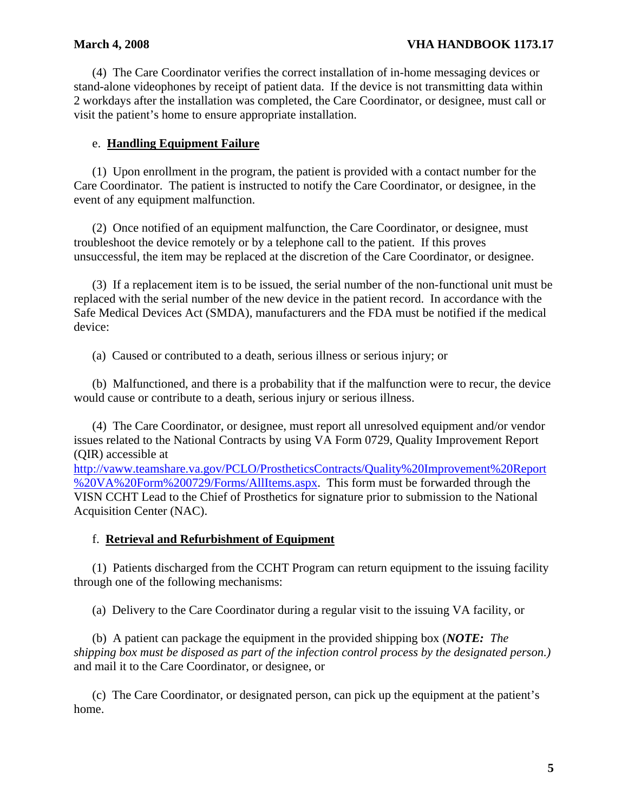(4) The Care Coordinator verifies the correct installation of in-home messaging devices or stand-alone videophones by receipt of patient data. If the device is not transmitting data within 2 workdays after the installation was completed, the Care Coordinator, or designee, must call or visit the patient's home to ensure appropriate installation.

# e. **Handling Equipment Failure**

 (1) Upon enrollment in the program, the patient is provided with a contact number for the Care Coordinator. The patient is instructed to notify the Care Coordinator, or designee, in the event of any equipment malfunction.

 (2) Once notified of an equipment malfunction, the Care Coordinator, or designee, must troubleshoot the device remotely or by a telephone call to the patient. If this proves unsuccessful, the item may be replaced at the discretion of the Care Coordinator, or designee.

 (3) If a replacement item is to be issued, the serial number of the non-functional unit must be replaced with the serial number of the new device in the patient record. In accordance with the Safe Medical Devices Act (SMDA), manufacturers and the FDA must be notified if the medical device:

(a) Caused or contributed to a death, serious illness or serious injury; or

 (b) Malfunctioned, and there is a probability that if the malfunction were to recur, the device would cause or contribute to a death, serious injury or serious illness.

(4) The Care Coordinator, or designee, must report all unresolved equipment and/or vendor issues related to the National Contracts by using VA Form 0729, Quality Improvement Report (QIR) accessible at

[http://vaww.teamshare.va.gov/PCLO/ProstheticsContracts/Quality%20Improvement%20Report](http://vaww.teamshare.va.gov/PCLO/ProstheticsContracts/Quality%20Improvement%20Report%20VA%20Form%200729/Forms/AllItems.aspx) [%20VA%20Form%200729/Forms/AllItems.aspx.](http://vaww.teamshare.va.gov/PCLO/ProstheticsContracts/Quality%20Improvement%20Report%20VA%20Form%200729/Forms/AllItems.aspx) This form must be forwarded through the VISN CCHT Lead to the Chief of Prosthetics for signature prior to submission to the National Acquisition Center (NAC).

# f. **Retrieval and Refurbishment of Equipment**

 (1) Patients discharged from the CCHT Program can return equipment to the issuing facility through one of the following mechanisms:

(a) Delivery to the Care Coordinator during a regular visit to the issuing VA facility, or

 (b) A patient can package the equipment in the provided shipping box (*NOTE: The shipping box must be disposed as part of the infection control process by the designated person.)* and mail it to the Care Coordinator, or designee, or

 (c) The Care Coordinator, or designated person, can pick up the equipment at the patient's home.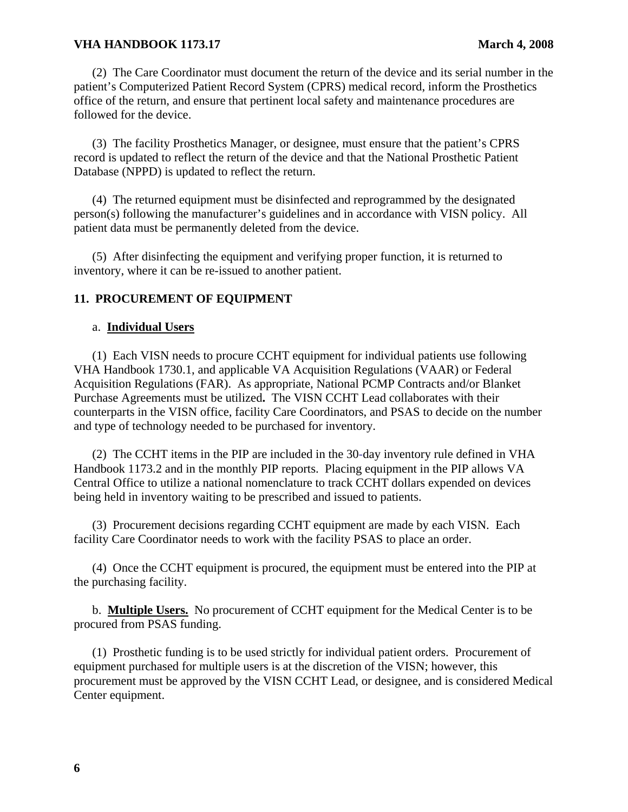# **VHA HANDBOOK 1173.17 March 4, 2008**

 (2) The Care Coordinator must document the return of the device and its serial number in the patient's Computerized Patient Record System (CPRS) medical record, inform the Prosthetics office of the return, and ensure that pertinent local safety and maintenance procedures are followed for the device.

 (3) The facility Prosthetics Manager, or designee, must ensure that the patient's CPRS record is updated to reflect the return of the device and that the National Prosthetic Patient Database (NPPD) is updated to reflect the return.

 (4) The returned equipment must be disinfected and reprogrammed by the designated person(s) following the manufacturer's guidelines and in accordance with VISN policy. All patient data must be permanently deleted from the device.

 (5) After disinfecting the equipment and verifying proper function, it is returned to inventory, where it can be re-issued to another patient.

# **11. PROCUREMENT OF EQUIPMENT**

## a. **Individual Users**

 (1) Each VISN needs to procure CCHT equipment for individual patients use following VHA Handbook 1730.1, and applicable VA Acquisition Regulations (VAAR) or Federal Acquisition Regulations (FAR). As appropriate, National PCMP Contracts and/or Blanket Purchase Agreements must be utilized**.** The VISN CCHT Lead collaborates with their counterparts in the VISN office, facility Care Coordinators, and PSAS to decide on the number and type of technology needed to be purchased for inventory.

 (2) The CCHT items in the PIP are included in the 30-day inventory rule defined in VHA Handbook 1173.2 and in the monthly PIP reports. Placing equipment in the PIP allows VA Central Office to utilize a national nomenclature to track CCHT dollars expended on devices being held in inventory waiting to be prescribed and issued to patients.

 (3) Procurement decisions regarding CCHT equipment are made by each VISN. Each facility Care Coordinator needs to work with the facility PSAS to place an order.

 (4) Once the CCHT equipment is procured, the equipment must be entered into the PIP at the purchasing facility.

 b. **Multiple Users.** No procurement of CCHT equipment for the Medical Center is to be procured from PSAS funding.

 (1) Prosthetic funding is to be used strictly for individual patient orders. Procurement of equipment purchased for multiple users is at the discretion of the VISN; however, this procurement must be approved by the VISN CCHT Lead, or designee, and is considered Medical Center equipment.